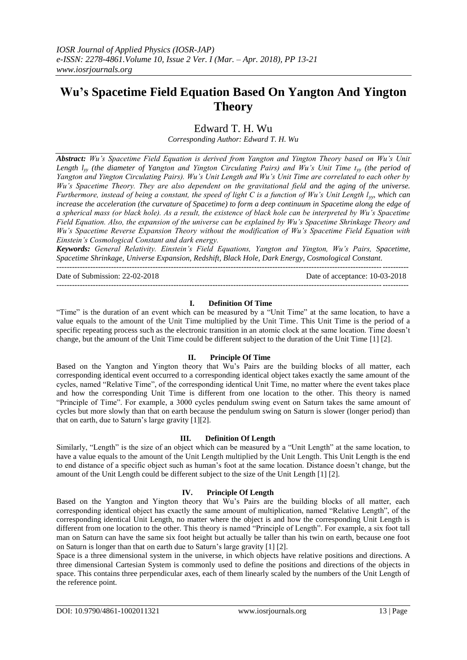# **Wu's Spacetime Field Equation Based On Yangton And Yington Theory**

Edward T. H. Wu

*Corresponding Author: Edward T. H. Wu*

*Abstract: Wu's Spacetime Field Equation is derived from Yangton and Yington Theory based on Wu's Unit Length l<sub>yy</sub>* (the diameter of Yangton and Yington Circulating Pairs) and Wu's Unit Time t<sub>*yy</sub>* (the period of</sub> *Yangton and Yington Circulating Pairs). Wu's Unit Length and Wu's Unit Time are correlated to each other by Wu's Spacetime Theory. They are also dependent on the gravitational field and the aging of the universe. Furthermore, instead of being a constant, the speed of light C is a function of Wu's Unit Length lyy, which can increase the acceleration (the curvature of Spacetime) to form a deep continuum in Spacetime along the edge of a spherical mass (or black hole). As a result, the existence of black hole can be interpreted by Wu's Spacetime Field Equation. Also, the expansion of the universe can be explained by Wu's Spacetime Shrinkage Theory and Wu's Spacetime Reverse Expansion Theory without the modification of Wu's Spacetime Field Equation with Einstein's Cosmological Constant and dark energy.*

*Keywords: General Relativity. Einstein's Field Equations, Yangton and Yington, Wu's Pairs, Spacetime, Spacetime Shrinkage, Universe Expansion, Redshift, Black Hole, Dark Energy, Cosmological Constant.*

---------------------------------------------------------------------------------------------------------------------------------------

Date of Submission: 22-02-2018 Date of acceptance: 10-03-2018

## **I. Definition Of Time**

---------------------------------------------------------------------------------------------------------------------------------------

"Time" is the duration of an event which can be measured by a "Unit Time" at the same location, to have a value equals to the amount of the Unit Time multiplied by the Unit Time. This Unit Time is the period of a specific repeating process such as the electronic transition in an atomic clock at the same location. Time doesn't change, but the amount of the Unit Time could be different subject to the duration of the Unit Time [1] [2].

#### **II. Principle Of Time**

Based on the Yangton and Yington theory that Wu's Pairs are the building blocks of all matter, each corresponding identical event occurred to a corresponding identical object takes exactly the same amount of the cycles, named "Relative Time", of the corresponding identical Unit Time, no matter where the event takes place and how the corresponding Unit Time is different from one location to the other. This theory is named "Principle of Time". For example, a 3000 cycles pendulum swing event on Saturn takes the same amount of cycles but more slowly than that on earth because the pendulum swing on Saturn is slower (longer period) than that on earth, due to Saturn's large gravity [1][2].

#### **III. Definition Of Length**

Similarly, "Length" is the size of an object which can be measured by a "Unit Length" at the same location, to have a value equals to the amount of the Unit Length multiplied by the Unit Length. This Unit Length is the end to end distance of a specific object such as human's foot at the same location. Distance doesn't change, but the amount of the Unit Length could be different subject to the size of the Unit Length [1] [2].

#### **IV. Principle Of Length**

Based on the Yangton and Yington theory that Wu's Pairs are the building blocks of all matter, each corresponding identical object has exactly the same amount of multiplication, named "Relative Length", of the corresponding identical Unit Length, no matter where the object is and how the corresponding Unit Length is different from one location to the other. This theory is named "Principle of Length". For example, a six foot tall man on Saturn can have the same six foot height but actually be taller than his twin on earth, because one foot on Saturn is longer than that on earth due to Saturn's large gravity [1] [2].

Space is a three dimensional system in the universe, in which objects have relative positions and directions. A three dimensional Cartesian System is commonly used to define the positions and directions of the objects in space. This contains three perpendicular axes, each of them linearly scaled by the numbers of the Unit Length of the reference point.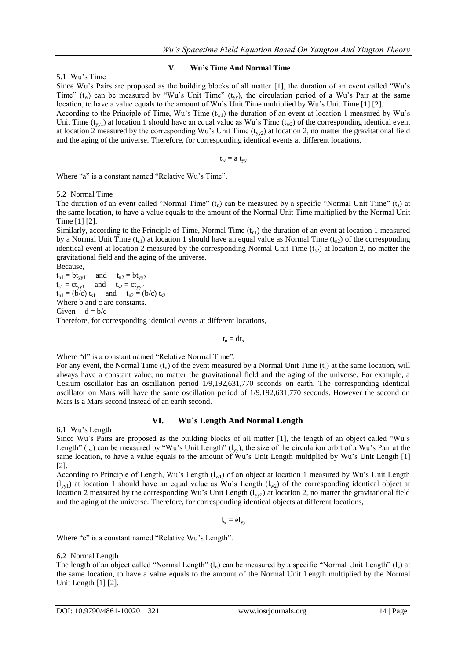#### 5.1 Wu's Time

## **V. Wu's Time And Normal Time**

Since Wu's Pairs are proposed as the building blocks of all matter [1], the duration of an event called "Wu's Time" ( $t_w$ ) can be measured by "Wu's Unit Time" ( $t_{yy}$ ), the circulation period of a Wu's Pair at the same location, to have a value equals to the amount of Wu's Unit Time multiplied by Wu's Unit Time [1] [2].

According to the Principle of Time, Wu's Time  $(t_{w1})$  the duration of an event at location 1 measured by Wu's Unit Time ( $t_{\text{vv1}}$ ) at location 1 should have an equal value as Wu's Time ( $t_{\text{vv2}}$ ) of the corresponding identical event at location 2 measured by the corresponding Wu's Unit Time  $(t_{vv2})$  at location 2, no matter the gravitational field and the aging of the universe. Therefore, for corresponding identical events at different locations,

 $t_w = a t_{vv}$ 

Where "a" is a constant named "Relative Wu's Time".

5.2 Normal Time

The duration of an event called "Normal Time"  $(t_n)$  can be measured by a specific "Normal Unit Time"  $(t_s)$  at the same location, to have a value equals to the amount of the Normal Unit Time multiplied by the Normal Unit Time [1] [2].

Similarly, according to the Principle of Time, Normal Time  $(t_{n_1})$  the duration of an event at location 1 measured by a Normal Unit Time  $(t_{s1})$  at location 1 should have an equal value as Normal Time  $(t_{n2})$  of the corresponding identical event at location 2 measured by the corresponding Normal Unit Time  $(t_{s2})$  at location 2, no matter the gravitational field and the aging of the universe.

Because,

 $t_{n1} = bt_{yy1}$  and  $t_{n2} = bt_{yy2}$  $t_{s1} = ct_{yy1}$  and  $t_{s2} = ct_{yy2}$  $t_{n1} = (b/c) t_{s1}$  and  $t_{n2} = (b/c) t_{s2}$ Where b and c are constants. Given  $d = b/c$ Therefore, for corresponding identical events at different locations,

 $t_n = dt_s$ 

Where "d" is a constant named "Relative Normal Time".

For any event, the Normal Time  $(t_n)$  of the event measured by a Normal Unit Time  $(t_s)$  at the same location, will always have a constant value, no matter the gravitational field and the aging of the universe. For example, a Cesium oscillator has an oscillation period 1/9,192,631,770 seconds on earth. The corresponding identical oscillator on Mars will have the same oscillation period of 1/9,192,631,770 seconds. However the second on Mars is a Mars second instead of an earth second.

#### **VI. Wu's Length And Normal Length**

6.1 Wu's Length

Since Wu's Pairs are proposed as the building blocks of all matter [1], the length of an object called "Wu's Length"  $(l_w)$  can be measured by "Wu's Unit Length"  $(l_w)$ , the size of the circulation orbit of a Wu's Pair at the same location, to have a value equals to the amount of Wu's Unit Length multiplied by Wu's Unit Length [1] [2].

According to Principle of Length, Wu's Length  $(l_w)$  of an object at location 1 measured by Wu's Unit Length  $(l_{\text{vv}})$  at location 1 should have an equal value as Wu's Length  $(l_{\text{w2}})$  of the corresponding identical object at location 2 measured by the corresponding Wu's Unit Length  $(l_{yy2})$  at location 2, no matter the gravitational field and the aging of the universe. Therefore, for corresponding identical objects at different locations,

$$
l_w = e l_{yy} \\
$$

Where "e" is a constant named "Relative Wu's Length".

#### 6.2 Normal Length

The length of an object called "Normal Length"  $(l_n)$  can be measured by a specific "Normal Unit Length"  $(l_s)$  at the same location, to have a value equals to the amount of the Normal Unit Length multiplied by the Normal Unit Length [1] [2].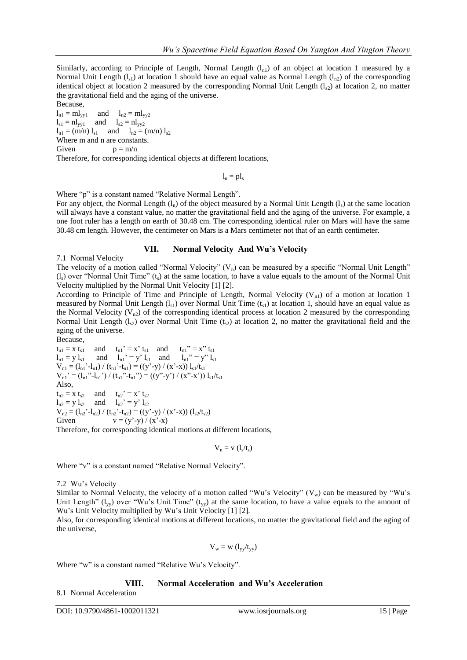Similarly, according to Principle of Length, Normal Length  $(l_{n1})$  of an object at location 1 measured by a Normal Unit Length  $(l_{s1})$  at location 1 should have an equal value as Normal Length  $(l_{n2})$  of the corresponding identical object at location 2 measured by the corresponding Normal Unit Length  $(l_{s2})$  at location 2, no matter the gravitational field and the aging of the universe.

Because,  $l_{n1} = ml_{yy1}$  and  $l_{n2} = ml_{yy2}$  $l_{s1} = n l_{yy1}$  and  $l_{s2} = n l_{yy2}$  $l_{n1} = (m/n) l_{s1}$  and  $l_{n2} = (m/n) l_{s2}$ Where m and n are constants. Given  $p = m/n$ 

Therefore, for corresponding identical objects at different locations,

 $l_n = p l_s$ 

Where "p" is a constant named "Relative Normal Length".

For any object, the Normal Length  $(l_n)$  of the object measured by a Normal Unit Length  $(l_s)$  at the same location will always have a constant value, no matter the gravitational field and the aging of the universe. For example, a one foot ruler has a length on earth of 30.48 cm. The corresponding identical ruler on Mars will have the same 30.48 cm length. However, the centimeter on Mars is a Mars centimeter not that of an earth centimeter.

#### **VII. Normal Velocity And Wu's Velocity**

7.1 Normal Velocity

The velocity of a motion called "Normal Velocity"  $(V_n)$  can be measured by a specific "Normal Unit Length"  $(l<sub>s</sub>)$  over "Normal Unit Time"  $(t<sub>s</sub>)$  at the same location, to have a value equals to the amount of the Normal Unit Velocity multiplied by the Normal Unit Velocity [1] [2].

According to Principle of Time and Principle of Length, Normal Velocity ( $V_{n1}$ ) of a motion at location 1 measured by Normal Unit Length  $(l_{s1})$  over Normal Unit Time  $(t_{s1})$  at location 1, should have an equal value as the Normal Velocity ( $V_{n2}$ ) of the corresponding identical process at location 2 measured by the corresponding Normal Unit Length ( $l_{s2}$ ) over Normal Unit Time ( $t_{s2}$ ) at location 2, no matter the gravitational field and the aging of the universe.

Because,

 $t_{n1} = x t_{s1}$  and  $t_{n1}' = x' t_{s1}$  and  $t_{n1}'' = x'' t_{s1}$  $l_{n1} = y l_{s1}$  and  $l_{n1}' = y' l_{s1}$  and  $l_{n1}'' = y'' l_{s1}$  $V_{n1} = (l_{n1}^{\prime} - l_{n1}) / (t_{n1}^{\prime} - t_{n1}) = ((y^{\prime} - y) / (x^{\prime} - x)) l_{s1}/t_{s1}$  $V_{n1}' = (l_{n1}'' - l_{n1}') / (t_{n1}'' - t_{n1}'') = ((y'' - y') / (x'' - x')) l_{s1}/t_{s1}$ Also,  $t_{n2} = x t_{s2}$  and  $t_{n2}' = x' t_{s2}$  $l_{n2} = y l_{s2}$  and  $l_{n2} = y l_{s2}$  $V_{n2} = (l_{n2}^{\prime} - l_{n2}) / (t_{n2}^{\prime} - t_{n2}) = ((y' - y) / (x' - x)) (l_{s2}/t_{s2})$ Given  $v = (y'-y)/(x'-x)$ Therefore, for corresponding identical motions at different locations,

 $V_n = v(l_s/t_s)$ 

Where "v" is a constant named "Relative Normal Velocity".

7.2 Wu's Velocity

Similar to Normal Velocity, the velocity of a motion called "Wu's Velocity"  $(V_w)$  can be measured by "Wu's Unit Length"  $(l_{yy})$  over "Wu's Unit Time"  $(t_{yy})$  at the same location, to have a value equals to the amount of Wu's Unit Velocity multiplied by Wu's Unit Velocity [1] [2].

Also, for corresponding identical motions at different locations, no matter the gravitational field and the aging of the universe,

$$
V_w = w \; (l_{yy}/t_{yy})
$$

Where "w" is a constant named "Relative Wu's Velocity".

## **VIII. Normal Acceleration and Wu's Acceleration**

8.1 Normal Acceleration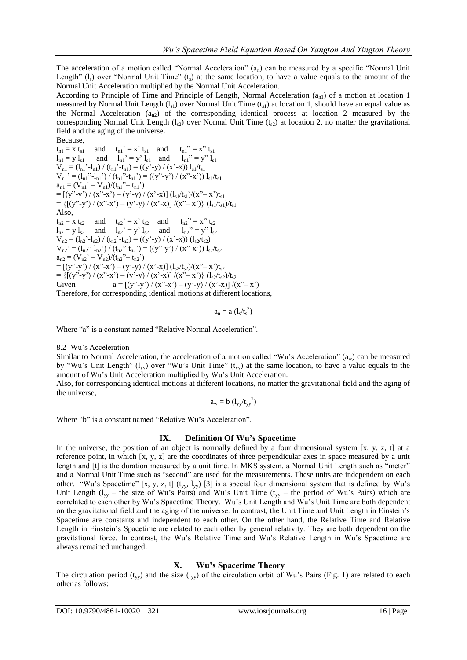The acceleration of a motion called "Normal Acceleration" (an) can be measured by a specific "Normal Unit Length" (l.) over "Normal Unit Time" (t.) at the same location, to have a value equals to the amount of the Normal Unit Acceleration multiplied by the Normal Unit Acceleration.

According to Principle of Time and Principle of Length, Normal Acceleration  $(a_{n1})$  of a motion at location 1 measured by Normal Unit Length  $(l_{s1})$  over Normal Unit Time  $(t_{s1})$  at location 1, should have an equal value as the Normal Acceleration ( $a_{n2}$ ) of the corresponding identical process at location 2 measured by the corresponding Normal Unit Length  $(l_{s2})$  over Normal Unit Time  $(t_{s2})$  at location 2, no matter the gravitational field and the aging of the universe.

Because,  $t_{n1} = x t_{s1}$  and  $t_{n1}' = x' t_{s1}$  and  $t_{n1}'' = x'' t_{s1}$  $l_{n1} = y l_{s1}$  and  $l_{n1}' = y' l_{s1}$  and  $l_{n1}'' = y'' l_{s1}$  $V_{n1} = (l_{n1}^{\prime} - l_{n1}) / (t_{n1}^{\prime} - t_{n1}) = ((y^{\prime} - y) / (x^{\prime} - x)) l_{s1}/t_{s1}$  $V_{n1}' = (l_{n1}'' - l_{n1}') / (t_{n1}'' - t_{n1}') = ((y'' - y') / (x'' - x')) l_{s1}/t_{s1}$  $a_{n1} = (V_{n1}' - V_{n1})/(t_{n1}'' - t_{n1}')$  $=$   $[(y''-y') / (x''-x') - (y'-y) / (x'-x)] (l_{s1}/t_{s1}) / (x''-x')t_{s1}$ = { $[(y''-y')/(x''-x') - (y'-y) / (x'-x)]/(x''-x')$ }  $(l_{s1}/t_{s1})/t_{s1}$ Also,  $t_{n2} = x t_{s2}$  and  $t_{n2}' = x' t_{s2}$  and  $t_{n2}'' = x'' t_{s2}$  $l_{n2} = y l_{s2}$  and  $l_{n2}' = y' l_{s2}$  and  $l_{n2}'' = y'' l_{s2}$  $V_{n2} = (l_{n2} - l_{n2}) / (t_{n2} - t_{n2}) = ((y' - y) / (x' - x)) (l_{s2}/t_{s2})$  $V_{n2}$ <sup>\*</sup> = (1<sub>n2</sub><sup>\*</sup>-1<sub>n2</sub><sup>\*</sup>) / (t<sub>n2</sub><sup>\*</sup>-t<sub>n2</sub><sup>\*</sup>) = ((y<sup>\*</sup>-y<sup>\*</sup>) / (x<sup>\*</sup>-x<sup>\*</sup>)) 1<sub>s2</sub>/t<sub>s2</sub>  $a_{n2} = (V_{n2}^{\prime} - V_{n2})/(t_{n2}^{\prime\prime} - t_{n2}^{\prime})$  $=[(y" - y') / (x" - x') - (y' - y) / (x' - x)] (l_{s2}/t_{s2}) / (x" - x')t_{s2}$ = {[(y"-y') / (x"-x') – (y'-y) / (x'-x)] /(x"-x')} (l<sub>s2</sub>/t<sub>s2</sub>)/t<sub>s2</sub> Given  $a = [(y''-y') / (x''-x') - (y'-y) / (x'-x)] / (x''-x')$ Therefore, for corresponding identical motions at different locations,

$$
a_n = a \; (l_s/t_s^2)
$$

Where "a" is a constant named "Relative Normal Acceleration".

#### 8.2 Wu's Acceleration

Similar to Normal Acceleration, the acceleration of a motion called "Wu's Acceleration" ( $a_w$ ) can be measured by "Wu's Unit Length" ( $l_{yy}$ ) over "Wu's Unit Time" ( $t_{yy}$ ) at the same location, to have a value equals to the amount of Wu's Unit Acceleration multiplied by Wu's Unit Acceleration.

Also, for corresponding identical motions at different locations, no matter the gravitational field and the aging of the universe,

$$
a_w = b \ (l_{yy}/t_{yy}^2)
$$

Where "b" is a constant named "Relative Wu's Acceleration".

#### **IX. Definition Of Wu's Spacetime**

In the universe, the position of an object is normally defined by a four dimensional system  $[x, y, z, t]$  at a reference point, in which [x, y, z] are the coordinates of three perpendicular axes in space measured by a unit length and [t] is the duration measured by a unit time. In MKS system, a Normal Unit Length such as "meter" and a Normal Unit Time such as "second" are used for the measurements. These units are independent on each other. "Wu's Spacetime" [x, y, z, t] ( $t_{yy}$ ,  $l_{yy}$ ) [3] is a special four dimensional system that is defined by Wu's Unit Length ( $l_{yy}$  – the size of Wu's Pairs) and Wu's Unit Time ( $t_{yy}$  – the period of Wu's Pairs) which are correlated to each other by Wu's Spacetime Theory. Wu's Unit Length and Wu's Unit Time are both dependent on the gravitational field and the aging of the universe. In contrast, the Unit Time and Unit Length in Einstein's Spacetime are constants and independent to each other. On the other hand, the Relative Time and Relative Length in Einstein's Spacetime are related to each other by general relativity. They are both dependent on the gravitational force. In contrast, the Wu's Relative Time and Wu's Relative Length in Wu's Spacetime are always remained unchanged.

#### **X. Wu's Spacetime Theory**

The circulation period (t<sub>yy</sub>) and the size (l<sub>yy</sub>) of the circulation orbit of Wu's Pairs (Fig. 1) are related to each other as follows: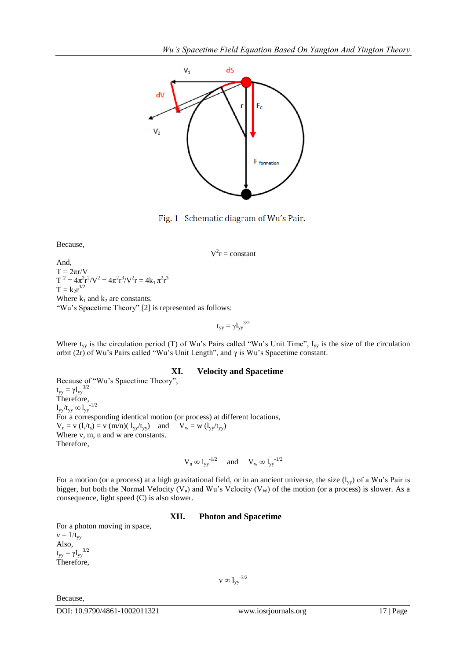

Fig. 1 Schematic diagram of Wu's Pair.

Because,

 $V^2r = constant$ 

And,  $T = 2\pi r/V$  $T^2 = 4\pi^2 r^2 / V^2 = 4\pi^2 r^3 / V^2 r = 4k_1 \pi^2 r^3$  $T = k_2 r^{3/2}$ Where  $k_1$  and  $k_2$  are constants. "Wu's Spacetime Theory" [2] is represented as follows:

$$
t_{yy} = \gamma l_{yy}^{3/2}
$$

Where  $t_{yy}$  is the circulation period (T) of Wu's Pairs called "Wu's Unit Time",  $l_{yy}$  is the size of the circulation orbit (2r) of Wu's Pairs called "Wu's Unit Length", and  $\gamma$  is Wu's Spacetime constant.

#### **XI. Velocity and Spacetime**

Because of "Wu's Spacetime Theory",  $t_{yy} = \gamma l_{yy}^{3/2}$ Therefore,  $l_{yy}/t_{yy} \infty l_{yy}^{-1/2}$ For a corresponding identical motion (or process) at different locations,  $V_n = v(l_s/t_s) = v(m/n)(l_{yy}/t_{yy})$  and  $V_w = w(l_{yy}/t_{yy})$ Where v, m, n and w are constants. Therefore,

$$
V_n \otimes l_{yy}^{-1/2} \quad \text{ and } \quad V_w \otimes l_{yy}^{-1/2}
$$

For a motion (or a process) at a high gravitational field, or in an ancient universe, the size  $(l_{yy})$  of a Wu's Pair is bigger, but both the Normal Velocity (V<sub>n</sub>) and Wu's Velocity (V<sub>W</sub>) of the motion (or a process) is slower. As a consequence, light speed (C) is also slower.

#### **XII. Photon and Spacetime**

For a photon moving in space,  $v = 1/t_{yy}$ Also,  $t_{yy} = \gamma l_{yy}^{3/2}$ Therefore,

 $v \infty$  l<sub>yy</sub><sup>-3/2</sup>

Because,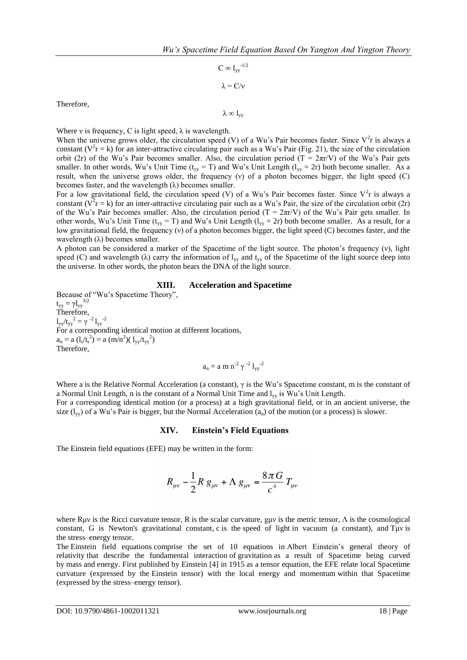$C \infty 1_{yy}^{-1/2}$  $λ = C/v$ 

Therefore,

 $λ ∞ 1<sub>vv</sub>$ 

Where *v* is frequency, C is light speed,  $\lambda$  is wavelength.

When the universe grows older, the circulation speed (V) of a Wu's Pair becomes faster. Since  $V^2$ r is always a constant ( $V^2$ r = k) for an inter-attractive circulating pair such as a Wu's Pair (Fig. 21), the size of the circulation orbit (2r) of the Wu's Pair becomes smaller. Also, the circulation period (T =  $2\pi r/V$ ) of the Wu's Pair gets smaller. In other words, Wu's Unit Time ( $t_{yy} = T$ ) and Wu's Unit Length ( $l_{yy} = 2r$ ) both become smaller. As a result, when the universe grows older, the frequency (ν) of a photon becomes bigger, the light speed (C) becomes faster, and the wavelength  $(\lambda)$  becomes smaller.

For a low gravitational field, the circulation speed (V) of a Wu's Pair becomes faster. Since  $V^2$ r is always a constant ( $\overline{V}^2$ r = k) for an inter-attractive circulating pair such as a Wu's Pair, the size of the circulation orbit (2r) of the Wu's Pair becomes smaller. Also, the circulation period (T =  $2\pi r/V$ ) of the Wu's Pair gets smaller. In other words, Wu's Unit Time ( $t_{vv} = T$ ) and Wu's Unit Length ( $l_{vv} = 2r$ ) both become smaller. As a result, for a low gravitational field, the frequency (ν) of a photon becomes bigger, the light speed (C) becomes faster, and the wavelength  $(\lambda)$  becomes smaller.

A photon can be considered a marker of the Spacetime of the light source. The photon's frequency (ν), light speed (C) and wavelength ( $\lambda$ ) carry the information of  $l_{vv}$  and  $t_{vv}$  of the Spacetime of the light source deep into the universe. In other words, the photon bears the DNA of the light source.

#### **XIII. Acceleration and Spacetime**

Because of "Wu's Spacetime Theory",  $t_{yy} = \gamma l_{yy}^{3/2}$ Therefore,  $l_{yy}/t_{yy}^2 = \gamma^{-2} l_{yy}^{-2}$ For a corresponding identical motion at different locations,  $a_n = a \left( l_s / t_s^2 \right) = a \left( m / n^2 \right) \left( l_{yy} / t_{yy}^2 \right)$ Therefore,

$$
a_n = a\; m\; n^{-2} \; \gamma\; \text{--}^2 \; l_{yy} \text{--}^2
$$

Where a is the Relative Normal Acceleration (a constant),  $\gamma$  is the Wu's Spacetime constant, m is the constant of a Normal Unit Length, n is the constant of a Normal Unit Time and  $l_{yy}$  is Wu's Unit Length.

For a corresponding identical motion (or a process) at a high gravitational field, or in an ancient universe, the size  $(l_{vv})$  of a Wu's Pair is bigger, but the Normal Acceleration  $(a_n)$  of the motion (or a process) is slower.

## **XIV. Einstein's Field Equations**

The Einstein field equations (EFE) may be written in the form:

$$
R_{\mu\nu} - \frac{1}{2}R g_{\mu\nu} + \Lambda g_{\mu\nu} = \frac{8\pi G}{c^4} T_{\mu\nu}
$$

where Ruv is the [Ricci curvature tensor,](https://en.wikipedia.org/wiki/Ricci_curvature_tensor) R is the [scalar curvature, g](https://en.wikipedia.org/wiki/Scalar_curvature)uv is the [metric tensor,](https://en.wikipedia.org/wiki/Metric_tensor_(general_relativity))  $\Lambda$  is the cosmological [constant, G is Newton's gravitational constant,](https://en.wikipedia.org/wiki/Cosmological_constant) c is the [speed of light](https://en.wikipedia.org/wiki/Speed_of_light) in vacuum (a constant), and Tμν is the [stress–energy tensor.](https://en.wikipedia.org/wiki/Stress%E2%80%93energy_tensor)

The Einstein field equations comprise the set of 10 equations in [Albert Einstein's general theory of](https://en.wikipedia.org/wiki/Albert_Einstein)  relativity that describe the [fundamental interaction](https://en.wikipedia.org/wiki/Fundamental_interaction) of [gravitation](https://en.wikipedia.org/wiki/Gravitation) as a result of Spacetime being curved by [mass](https://en.wikipedia.org/wiki/Mass) and [energy.](https://en.wikipedia.org/wiki/Energy) First published by Einstein [\[4\]](https://en.wikipedia.org/wiki/Einstein_field_equations#cite_note-Ein1915-2) in 1915 as a [tensor equation,](https://en.wikipedia.org/wiki/Tensor_equation) the EFE relate local Spacetime curvature (expressed by the [Einstein tensor\)](https://en.wikipedia.org/wiki/Einstein_tensor) with the local energy and [momentum](https://en.wikipedia.org/wiki/Momentum) within that Spacetime (expressed by the [stress–energy tensor\)](https://en.wikipedia.org/wiki/Stress%E2%80%93energy_tensor).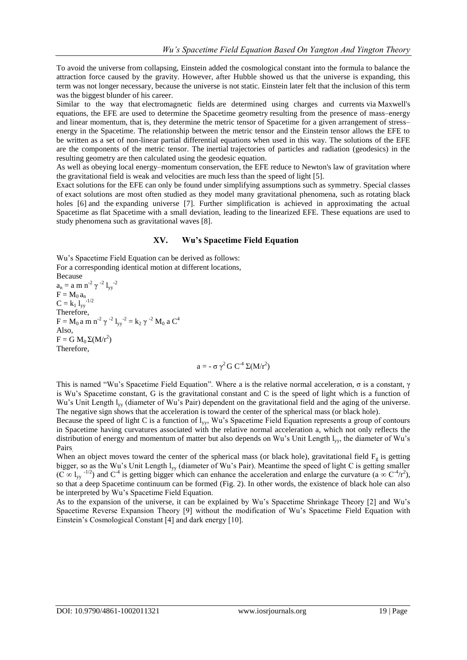To avoid the universe from collapsing, Einstein added the cosmological constant into the formula to balance the attraction force caused by the gravity. However, after Hubble showed us that the universe is expanding, this term was not longer necessary, because the universe is not static. Einstein later felt that the inclusion of this term was the biggest blunder of his career.

Similar to the way that [electromagnetic fields](https://en.wikipedia.org/wiki/Electromagnetic_field) are determined using charges and currents via [Maxwell's](https://en.wikipedia.org/wiki/Maxwell%27s_equations)  [equations,](https://en.wikipedia.org/wiki/Maxwell%27s_equations) the EFE are used to determine the [Spacetime geometry](https://en.wikipedia.org/wiki/Spacetime_geometry) resulting from the presence of mass–energy and linear momentum, that is, they determine the [metric tensor](https://en.wikipedia.org/wiki/Metric_tensor_(general_relativity)) of Spacetime for a given arrangement of stress– energy in the Spacetime. The relationship between the metric tensor and the Einstein tensor allows the EFE to be written as a set of non-linear [partial differential equations](https://en.wikipedia.org/wiki/Partial_differential_equation) when used in this way. The solutions of the EFE are the components of the metric tensor. The [inertial](https://en.wikipedia.org/wiki/Inertia) trajectories of particles and radiation [\(geodesics\)](https://en.wikipedia.org/wiki/Geodesics_in_general_relativity) in the resulting geometry are then calculated using the [geodesic equation.](https://en.wikipedia.org/wiki/Geodesic_equation)

As well as obeying local energy–momentum conservation, the EFE reduce to [Newton's law of gravitation](https://en.wikipedia.org/wiki/Newton%27s_law_of_gravitation) where the gravitational field is weak and velocities are much less than the [speed of light](https://en.wikipedia.org/wiki/Speed_of_light) [\[5\].](https://en.wikipedia.org/wiki/Einstein_field_equations#cite_note-Carroll-4)

Exact solutions for the EFE can only be found under simplifying assumptions such as [symmetry.](https://en.wikipedia.org/wiki/Spacetime_symmetries) Special classes of [exact solutions a](https://en.wikipedia.org/wiki/Exact_solutions_in_general_relativity)re most often studied as they model many gravitational phenomena, such as [rotating black](https://en.wikipedia.org/wiki/Rotating_black_hole)  [holes](https://en.wikipedia.org/wiki/Rotating_black_hole) [6] and the [expanding universe](https://en.wikipedia.org/wiki/Metric_expansion_of_space) [7]. Further simplification is achieved in approximating the actual Spacetime as [flat Spacetime](https://en.wikipedia.org/wiki/Minkowski_space) with a small deviation, leading to the [linearized EFE.](https://en.wikipedia.org/wiki/Linearized_gravity#Linearized_Einstein_field_equations) These equations are used to study phenomena such as [gravitational waves](https://en.wikipedia.org/wiki/Gravitational_waves) [8].

## **XV. Wu's Spacetime Field Equation**

Wu's Spacetime Field Equation can be derived as follows: For a corresponding identical motion at different locations,

Because  $a_n = a \, \text{m} \, \text{n}^{-2} \, \gamma^{-2} \, l_{yy}^{-2}$  $F = M_0 a_n$ <br> $C = \frac{1}{2} a_0^2$  $C = k_1 1_{yy}$ Therefore, F = M<sub>0</sub> a m n<sup>-2</sup> γ<sup>-2</sup> l<sub>yy</sub><sup>-2</sup> = k<sub>2</sub> γ<sup>-2</sup> M<sub>0</sub> a C<sup>4</sup> Also,  $F = G M_0 \Sigma (M/r^2)$ Therefore,

$$
a = -\sigma \gamma^2 G C^{-4} \Sigma (M/r^2)
$$

This is named "Wu's Spacetime Field Equation". Where a is the relative normal acceleration, σ is a constant, γ is Wu's Spacetime constant, G is the gravitational constant and C is the speed of light which is a function of Wu's Unit Length l<sub>yy</sub> (diameter of Wu's Pair) dependent on the gravitational field and the aging of the universe. The negative sign shows that the acceleration is toward the center of the spherical mass (or black hole).

Because the speed of light C is a function of lyy, Wu's Spacetime Field Equation represents a group of contours in Spacetime having curvatures associated with the relative normal acceleration a, which not only reflects the distribution of energy and momentum of matter but also depends on Wu's Unit Length lyy, the diameter of Wu's Pairs.

When an object moves toward the center of the spherical mass (or black hole), gravitational field  $F_g$  is getting bigger, so as the Wu's Unit Length l<sub>yy</sub> (diameter of Wu's Pair). Meantime the speed of light C is getting smaller  $(C \propto l_{yy}^{-1/2})$  and  $C^4$  is getting bigger which can enhance the acceleration and enlarge the curvature (a  $\propto C^4/r^2$ ), so that a deep Spacetime continuum can be formed (Fig. 2). In other words, the existence of black hole can also be interpreted by Wu's Spacetime Field Equation.

As to the expansion of the universe, it can be explained by Wu's Spacetime Shrinkage Theory [2] and Wu's Spacetime Reverse Expansion Theory [9] without the modification of Wu's Spacetime Field Equation with Einstein's Cosmological Constant [4] and dark energy [10].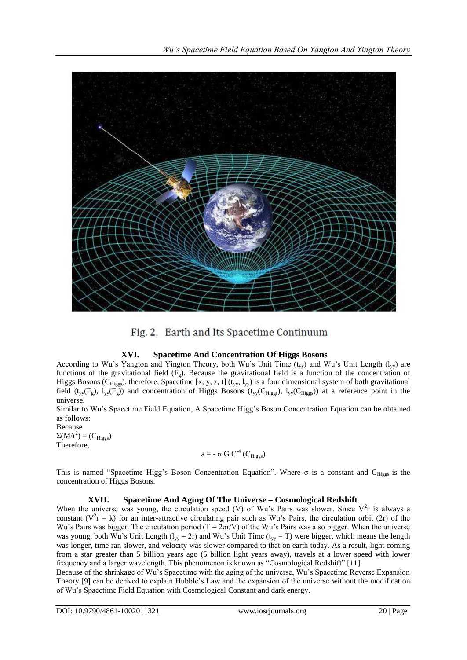



# **XVI. Spacetime And Concentration Of Higgs Bosons**

According to Wu's Yangton and Yington Theory, both Wu's Unit Time  $(t_{yy})$  and Wu's Unit Length ( $l_{yy}$ ) are functions of the gravitational field  $(F_g)$ . Because the gravitational field is a function of the concentration of Higgs Bosons ( $C_{\text{Higgs}}$ ), therefore, Spacetime [x, y, z, t] (t<sub>yy</sub>, l<sub>yy</sub>) is a four dimensional system of both gravitational field (t<sub>yy</sub>(F<sub>g</sub>),  $l_{yy}(F_g)$ ) and concentration of Higgs Bosons (t<sub>yy</sub>(C<sub>Higgs</sub>),  $l_{yy}(C_{\text{Higgs}})$ ) at a reference point in the universe.

Similar to Wu's Spacetime Field Equation, A Spacetime Higg's Boson Concentration Equation can be obtained as follows:

Because  $\Sigma(M/r^2) = (C_{\text{Higgs}})$ 

Therefore,

$$
a = \text{-} \sigma \: G \: C^{\text{-}4} \: (C_{Higgs})
$$

This is named "Spacetime Higg's Boson Concentration Equation". Where  $\sigma$  is a constant and C<sub>Higgs</sub> is the concentration of Higgs Bosons.

# **XVII. Spacetime And Aging Of The Universe – Cosmological Redshift**

When the universe was young, the circulation speed (V) of Wu's Pairs was slower. Since  $V^2$ r is always a constant ( $V^2$ r = k) for an inter-attractive circulating pair such as Wu's Pairs, the circulation orbit (2r) of the Wu's Pairs was bigger. The circulation period ( $T = 2\pi r/V$ ) of the Wu's Pairs was also bigger. When the universe was young, both Wu's Unit Length ( $l_{yy} = 2r$ ) and Wu's Unit Time ( $t_{yy} = T$ ) were bigger, which means the length was longer, time ran slower, and velocity was slower compared to that on earth today. As a result, light coming from a star greater than 5 billion years ago (5 billion light years away), travels at a lower speed with lower frequency and a larger wavelength. This phenomenon is known as "Cosmological Redshift" [11].

Because of the shrinkage of Wu's Spacetime with the aging of the universe, Wu's Spacetime Reverse Expansion Theory [9] can be derived to explain Hubble's Law and the expansion of the universe without the modification of Wu's Spacetime Field Equation with Cosmological Constant and dark energy.